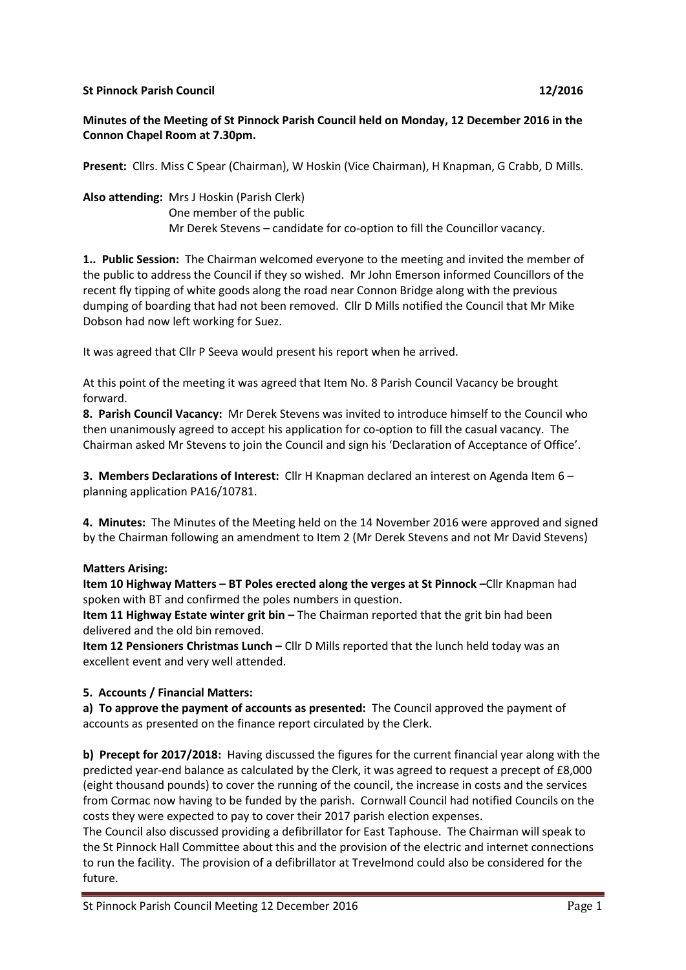#### **St Pinnock Parish Council 12/2016**

# **Minutes of the Meeting of St Pinnock Parish Council held on Monday, 12 December 2016 in the Connon Chapel Room at 7.30pm.**

**Present:** Cllrs. Miss C Spear (Chairman), W Hoskin (Vice Chairman), H Knapman, G Crabb, D Mills.

**Also attending:** Mrs J Hoskin (Parish Clerk) One member of the public Mr Derek Stevens – candidate for co-option to fill the Councillor vacancy.

**1.. Public Session:** The Chairman welcomed everyone to the meeting and invited the member of the public to address the Council if they so wished. Mr John Emerson informed Councillors of the recent fly tipping of white goods along the road near Connon Bridge along with the previous dumping of boarding that had not been removed. Cllr D Mills notified the Council that Mr Mike Dobson had now left working for Suez.

It was agreed that Cllr P Seeva would present his report when he arrived.

At this point of the meeting it was agreed that Item No. 8 Parish Council Vacancy be brought forward.

**8. Parish Council Vacancy:** Mr Derek Stevens was invited to introduce himself to the Council who then unanimously agreed to accept his application for co-option to fill the casual vacancy. The Chairman asked Mr Stevens to join the Council and sign his 'Declaration of Acceptance of Office'.

**3. Members Declarations of Interest:** Cllr H Knapman declared an interest on Agenda Item 6 – planning application PA16/10781.

**4. Minutes:** The Minutes of the Meeting held on the 14 November 2016 were approved and signed by the Chairman following an amendment to Item 2 (Mr Derek Stevens and not Mr David Stevens)

# **Matters Arising:**

**Item 10 Highway Matters – BT Poles erected along the verges at St Pinnock –**Cllr Knapman had spoken with BT and confirmed the poles numbers in question.

**Item 11 Highway Estate winter grit bin –** The Chairman reported that the grit bin had been delivered and the old bin removed.

**Item 12 Pensioners Christmas Lunch –** Cllr D Mills reported that the lunch held today was an excellent event and very well attended.

# **5. Accounts / Financial Matters:**

**a) To approve the payment of accounts as presented:** The Council approved the payment of accounts as presented on the finance report circulated by the Clerk.

**b) Precept for 2017/2018:** Having discussed the figures for the current financial year along with the predicted year-end balance as calculated by the Clerk, it was agreed to request a precept of £8,000 (eight thousand pounds) to cover the running of the council, the increase in costs and the services from Cormac now having to be funded by the parish. Cornwall Council had notified Councils on the costs they were expected to pay to cover their 2017 parish election expenses.

The Council also discussed providing a defibrillator for East Taphouse. The Chairman will speak to the St Pinnock Hall Committee about this and the provision of the electric and internet connections to run the facility. The provision of a defibrillator at Trevelmond could also be considered for the future.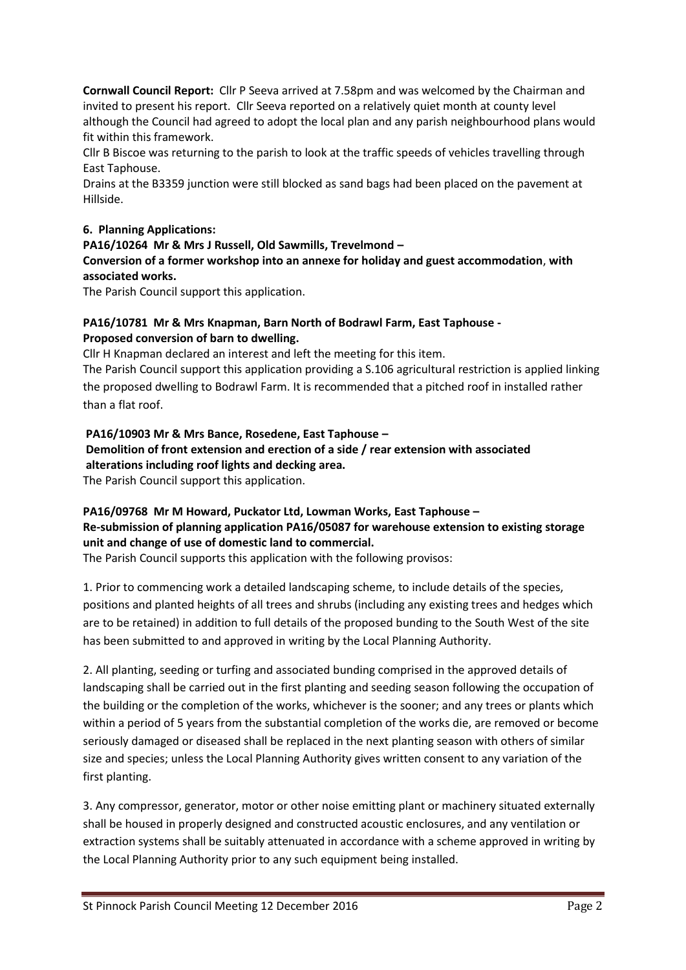**Cornwall Council Report:** Cllr P Seeva arrived at 7.58pm and was welcomed by the Chairman and invited to present his report. Cllr Seeva reported on a relatively quiet month at county level although the Council had agreed to adopt the local plan and any parish neighbourhood plans would fit within this framework.

Cllr B Biscoe was returning to the parish to look at the traffic speeds of vehicles travelling through East Taphouse.

Drains at the B3359 junction were still blocked as sand bags had been placed on the pavement at Hillside.

## **6. Planning Applications:**

#### **PA16/10264 Mr & Mrs J Russell, Old Sawmills, Trevelmond –**

**Conversion of a former workshop into an annexe for holiday and guest accommodation**, **with associated works.**

The Parish Council support this application.

## **PA16/10781 Mr & Mrs Knapman, Barn North of Bodrawl Farm, East Taphouse - Proposed conversion of barn to dwelling.**

Cllr H Knapman declared an interest and left the meeting for this item.

The Parish Council support this application providing a S.106 agricultural restriction is applied linking the proposed dwelling to Bodrawl Farm. It is recommended that a pitched roof in installed rather than a flat roof.

**PA16/10903 Mr & Mrs Bance, Rosedene, East Taphouse – Demolition of front extension and erection of a side / rear extension with associated alterations including roof lights and decking area.** The Parish Council support this application.

# **PA16/09768 Mr M Howard, Puckator Ltd, Lowman Works, East Taphouse – Re-submission of planning application PA16/05087 for warehouse extension to existing storage unit and change of use of domestic land to commercial.**

The Parish Council supports this application with the following provisos:

1. Prior to commencing work a detailed landscaping scheme, to include details of the species, positions and planted heights of all trees and shrubs (including any existing trees and hedges which are to be retained) in addition to full details of the proposed bunding to the South West of the site has been submitted to and approved in writing by the Local Planning Authority.

2. All planting, seeding or turfing and associated bunding comprised in the approved details of landscaping shall be carried out in the first planting and seeding season following the occupation of the building or the completion of the works, whichever is the sooner; and any trees or plants which within a period of 5 years from the substantial completion of the works die, are removed or become seriously damaged or diseased shall be replaced in the next planting season with others of similar size and species; unless the Local Planning Authority gives written consent to any variation of the first planting.

3. Any compressor, generator, motor or other noise emitting plant or machinery situated externally shall be housed in properly designed and constructed acoustic enclosures, and any ventilation or extraction systems shall be suitably attenuated in accordance with a scheme approved in writing by the Local Planning Authority prior to any such equipment being installed.